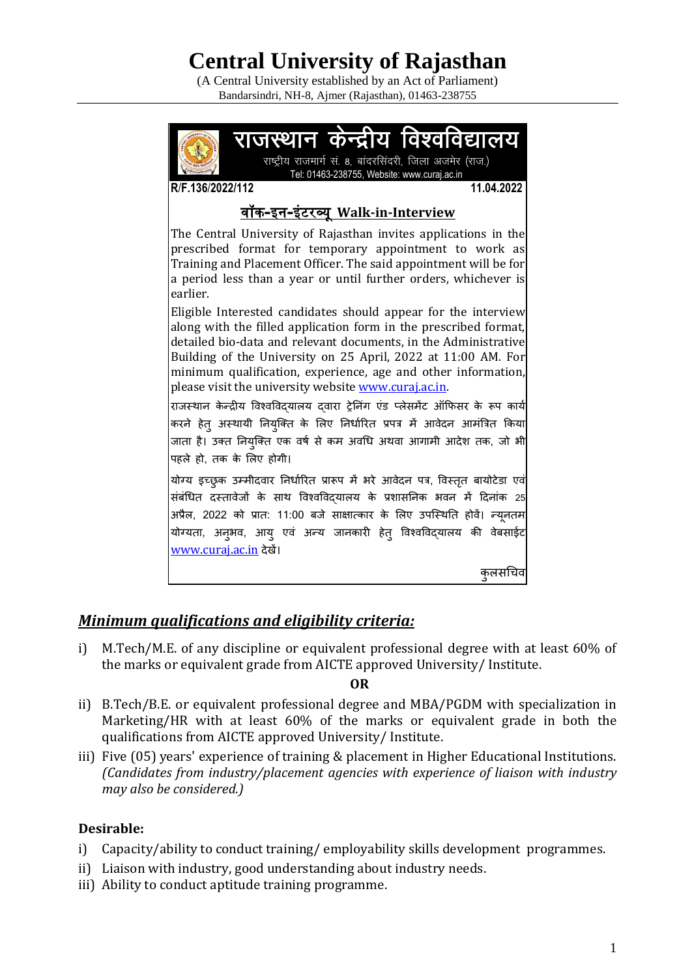# **Central University of Rajasthan**

(A Central University established by an Act of Parliament) Bandarsindri, NH-8, Ajmer (Rajasthan), 01463-238755



## *Minimum qualifications and eligibility criteria:*

i) M.Tech/M.E. of any discipline or equivalent professional degree with at least 60% of the marks or equivalent grade from AICTE approved University/ Institute.

#### **OR**

- ii) B.Tech/B.E. or equivalent professional degree and MBA/PGDM with specialization in Marketing/HR with at least 60% of the marks or equivalent grade in both the qualifications from AICTE approved University/ Institute.
- iii) Five (05) years' experience of training & placement in Higher Educational Institutions. *(Candidates from industry/placement agencies with experience of liaison with industry may also be considered.)*

#### **Desirable:**

- i) Capacity/ability to conduct training/ employability skills development programmes.
- ii) Liaison with industry, good understanding about industry needs.
- iii) Ability to conduct aptitude training programme.